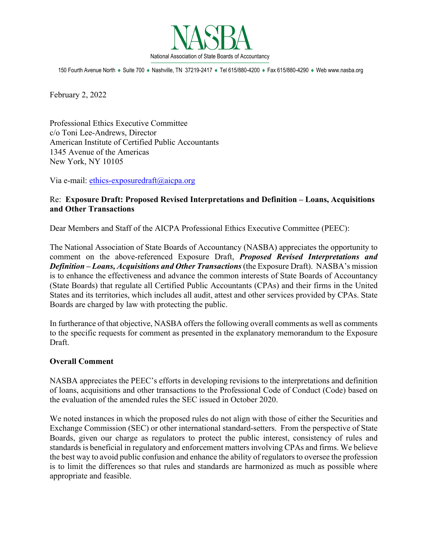

150 Fourth Avenue North ♦ Suite 700 ♦ Nashville, TN 37219-2417 ♦ Tel 615/880-4200 ♦ Fax 615/880-4290 ♦ Web www.nasba.org

February 2, 2022

Professional Ethics Executive Committee c/o Toni Lee-Andrews, Director American Institute of Certified Public Accountants 1345 Avenue of the Americas New York, NY 10105

Via e-mail: [ethics-exposuredraft@aicpa.](mailto:ethics-exposuredraft@aicpa)org

## Re: **Exposure Draft: Proposed Revised Interpretations and Definition – Loans, Acquisitions and Other Transactions**

Dear Members and Staff of the AICPA Professional Ethics Executive Committee (PEEC):

The National Association of State Boards of Accountancy (NASBA) appreciates the opportunity to comment on the above-referenced Exposure Draft, *Proposed Revised Interpretations and Definition – Loans, Acquisitions and Other Transactions* (the Exposure Draft). NASBA's mission is to enhance the effectiveness and advance the common interests of State Boards of Accountancy (State Boards) that regulate all Certified Public Accountants (CPAs) and their firms in the United States and its territories, which includes all audit, attest and other services provided by CPAs. State Boards are charged by law with protecting the public.

In furtherance of that objective, NASBA offers the following overall comments as well as comments to the specific requests for comment as presented in the explanatory memorandum to the Exposure Draft.

## **Overall Comment**

NASBA appreciates the PEEC's efforts in developing revisions to the interpretations and definition of loans, acquisitions and other transactions to the Professional Code of Conduct (Code) based on the evaluation of the amended rules the SEC issued in October 2020.

We noted instances in which the proposed rules do not align with those of either the Securities and Exchange Commission (SEC) or other international standard-setters. From the perspective of State Boards, given our charge as regulators to protect the public interest, consistency of rules and standards is beneficial in regulatory and enforcement matters involving CPAs and firms. We believe the best way to avoid public confusion and enhance the ability of regulators to oversee the profession is to limit the differences so that rules and standards are harmonized as much as possible where appropriate and feasible.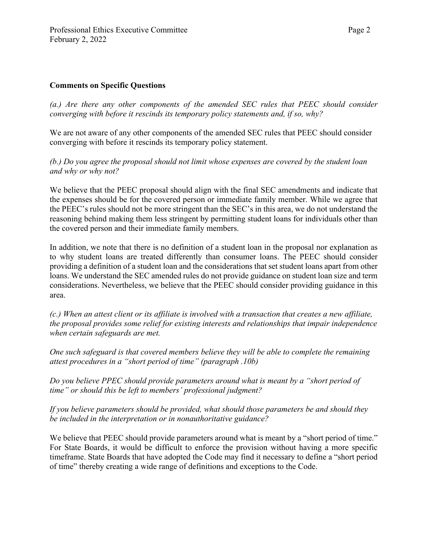## **Comments on Specific Questions**

*(a.) Are there any other components of the amended SEC rules that PEEC should consider converging with before it rescinds its temporary policy statements and, if so, why?*

We are not aware of any other components of the amended SEC rules that PEEC should consider converging with before it rescinds its temporary policy statement.

*(b.) Do you agree the proposal should not limit whose expenses are covered by the student loan and why or why not?*

We believe that the PEEC proposal should align with the final SEC amendments and indicate that the expenses should be for the covered person or immediate family member. While we agree that the PEEC's rules should not be more stringent than the SEC's in this area, we do not understand the reasoning behind making them less stringent by permitting student loans for individuals other than the covered person and their immediate family members.

In addition, we note that there is no definition of a student loan in the proposal nor explanation as to why student loans are treated differently than consumer loans. The PEEC should consider providing a definition of a student loan and the considerations that set student loans apart from other loans. We understand the SEC amended rules do not provide guidance on student loan size and term considerations. Nevertheless, we believe that the PEEC should consider providing guidance in this area.

*(c.) When an attest client or its affiliate is involved with a transaction that creates a new affiliate, the proposal provides some relief for existing interests and relationships that impair independence when certain safeguards are met.*

*One such safeguard is that covered members believe they will be able to complete the remaining attest procedures in a "short period of time" (paragraph .10b)*

*Do you believe PPEC should provide parameters around what is meant by a "short period of time" or should this be left to members' professional judgment?*

*If you believe parameters should be provided, what should those parameters be and should they be included in the interpretation or in nonauthoritative guidance?*

We believe that PEEC should provide parameters around what is meant by a "short period of time." For State Boards, it would be difficult to enforce the provision without having a more specific timeframe. State Boards that have adopted the Code may find it necessary to define a "short period of time" thereby creating a wide range of definitions and exceptions to the Code.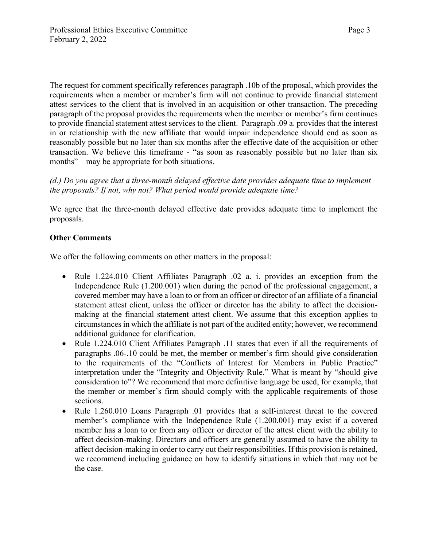The request for comment specifically references paragraph .10b of the proposal, which provides the requirements when a member or member's firm will not continue to provide financial statement attest services to the client that is involved in an acquisition or other transaction. The preceding paragraph of the proposal provides the requirements when the member or member's firm continues to provide financial statement attest services to the client. Paragraph .09 a. provides that the interest in or relationship with the new affiliate that would impair independence should end as soon as reasonably possible but no later than six months after the effective date of the acquisition or other transaction. We believe this timeframe - "as soon as reasonably possible but no later than six months" – may be appropriate for both situations.

*(d.) Do you agree that a three-month delayed effective date provides adequate time to implement the proposals? If not, why not? What period would provide adequate time?*

We agree that the three-month delayed effective date provides adequate time to implement the proposals.

## **Other Comments**

We offer the following comments on other matters in the proposal:

- Rule 1.224.010 Client Affiliates Paragraph .02 a. i. provides an exception from the Independence Rule (1.200.001) when during the period of the professional engagement, a covered member may have a loan to or from an officer or director of an affiliate of a financial statement attest client, unless the officer or director has the ability to affect the decisionmaking at the financial statement attest client. We assume that this exception applies to circumstances in which the affiliate is not part of the audited entity; however, we recommend additional guidance for clarification.
- Rule 1.224.010 Client Affiliates Paragraph .11 states that even if all the requirements of paragraphs .06-.10 could be met, the member or member's firm should give consideration to the requirements of the "Conflicts of Interest for Members in Public Practice" interpretation under the "Integrity and Objectivity Rule." What is meant by "should give consideration to"? We recommend that more definitive language be used, for example, that the member or member's firm should comply with the applicable requirements of those sections.
- Rule 1.260.010 Loans Paragraph .01 provides that a self-interest threat to the covered member's compliance with the Independence Rule (1.200.001) may exist if a covered member has a loan to or from any officer or director of the attest client with the ability to affect decision-making. Directors and officers are generally assumed to have the ability to affect decision-making in order to carry out their responsibilities. If this provision is retained, we recommend including guidance on how to identify situations in which that may not be the case.